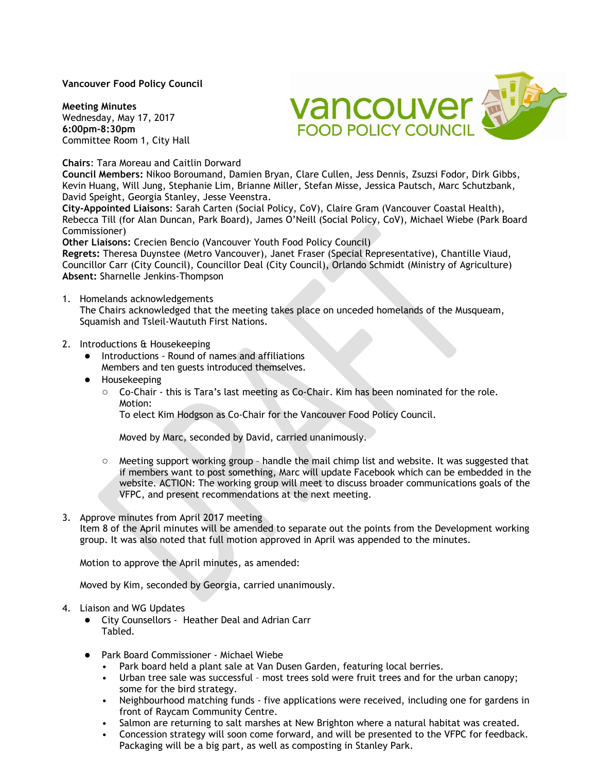### **Vancouver Food Policy Council**

**Meeting Minutes** Wednesday, May 17, 2017 **6:00pm-8:30pm** Committee Room 1, City Hall



#### **Chairs**: Tara Moreau and Caitlin Dorward

**Council Members:** Nikoo Boroumand, Damien Bryan, Clare Cullen, Jess Dennis, Zsuzsi Fodor, Dirk Gibbs, Kevin Huang, Will Jung, Stephanie Lim, Brianne Miller, Stefan Misse, Jessica Pautsch, Marc Schutzbank, David Speight, Georgia Stanley, Jesse Veenstra.

**City-Appointed Liaisons**: Sarah Carten (Social Policy, CoV), Claire Gram (Vancouver Coastal Health), Rebecca Till (for Alan Duncan, Park Board), James O'Neill (Social Policy, CoV), Michael Wiebe (Park Board Commissioner)

**Other Liaisons:** Crecien Bencio (Vancouver Youth Food Policy Council)

**Regrets:** Theresa Duynstee (Metro Vancouver), Janet Fraser (Special Representative), Chantille Viaud, Councillor Carr (City Council), Councillor Deal (City Council), Orlando Schmidt (Ministry of Agriculture) **Absent:** Sharnelle Jenkins-Thompson

1. Homelands acknowledgements

The Chairs acknowledged that the meeting takes place on unceded homelands of the Musqueam, Squamish and Tsleil-Waututh First Nations.

### 2. Introductions & Housekeeping

- Introductions Round of names and affiliations Members and ten guests introduced themselves.
- Housekeeping
	- Co-Chair this is Tara's last meeting as Co-Chair. Kim has been nominated for the role. Motion:

To elect Kim Hodgson as Co-Chair for the Vancouver Food Policy Council.

Moved by Marc, seconded by David, carried unanimously.

○ Meeting support working group – handle the mail chimp list and website. It was suggested that if members want to post something, Marc will update Facebook which can be embedded in the website. ACTION: The working group will meet to discuss broader communications goals of the VFPC, and present recommendations at the next meeting.

#### 3. Approve minutes from April 2017 meeting

Item 8 of the April minutes will be amended to separate out the points from the Development working group. It was also noted that full motion approved in April was appended to the minutes.

Motion to approve the April minutes, as amended:

Moved by Kim, seconded by Georgia, carried unanimously.

- 4. Liaison and WG Updates
	- City Counsellors Heather Deal and Adrian Carr Tabled.
	- Park Board Commissioner Michael Wiebe
		- Park board held a plant sale at Van Dusen Garden, featuring local berries.
		- Urban tree sale was successful most trees sold were fruit trees and for the urban canopy; some for the bird strategy.
		- Neighbourhood matching funds five applications were received, including one for gardens in front of Raycam Community Centre.
		- Salmon are returning to salt marshes at New Brighton where a natural habitat was created.
		- Concession strategy will soon come forward, and will be presented to the VFPC for feedback. Packaging will be a big part, as well as composting in Stanley Park.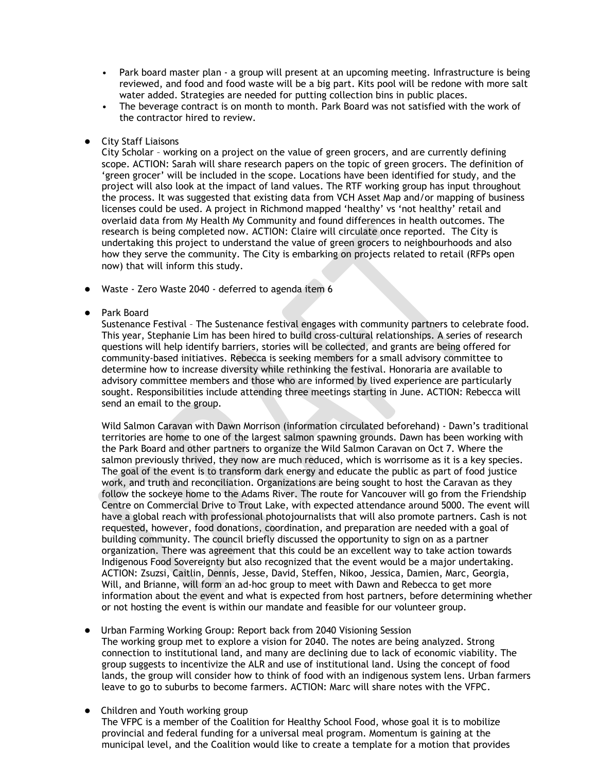- Park board master plan a group will present at an upcoming meeting. Infrastructure is being reviewed, and food and food waste will be a big part. Kits pool will be redone with more salt water added. Strategies are needed for putting collection bins in public places.
- The beverage contract is on month to month. Park Board was not satisfied with the work of the contractor hired to review.
- **City Staff Liaisons**

City Scholar – working on a project on the value of green grocers, and are currently defining scope. ACTION: Sarah will share research papers on the topic of green grocers. The definition of 'green grocer' will be included in the scope. Locations have been identified for study, and the project will also look at the impact of land values. The RTF working group has input throughout the process. It was suggested that existing data from VCH Asset Map and/or mapping of business licenses could be used. A project in Richmond mapped 'healthy' vs 'not healthy' retail and overlaid data from My Health My Community and found differences in health outcomes. The research is being completed now. ACTION: Claire will circulate once reported. The City is undertaking this project to understand the value of green grocers to neighbourhoods and also how they serve the community. The City is embarking on projects related to retail (RFPs open now) that will inform this study.

- Waste Zero Waste 2040 deferred to agenda item 6
- Park Board

Sustenance Festival – The Sustenance festival engages with community partners to celebrate food. This year, Stephanie Lim has been hired to build cross-cultural relationships. A series of research questions will help identify barriers, stories will be collected, and grants are being offered for community-based initiatives. Rebecca is seeking members for a small advisory committee to determine how to increase diversity while rethinking the festival. Honoraria are available to advisory committee members and those who are informed by lived experience are particularly sought. Responsibilities include attending three meetings starting in June. ACTION: Rebecca will send an email to the group.

Wild Salmon Caravan with Dawn Morrison (information circulated beforehand) - Dawn's traditional territories are home to one of the largest salmon spawning grounds. Dawn has been working with the Park Board and other partners to organize the Wild Salmon Caravan on Oct 7. Where the salmon previously thrived, they now are much reduced, which is worrisome as it is a key species. The goal of the event is to transform dark energy and educate the public as part of food justice work, and truth and reconciliation. Organizations are being sought to host the Caravan as they follow the sockeye home to the Adams River. The route for Vancouver will go from the Friendship Centre on Commercial Drive to Trout Lake, with expected attendance around 5000. The event will have a global reach with professional photojournalists that will also promote partners. Cash is not requested, however, food donations, coordination, and preparation are needed with a goal of building community. The council briefly discussed the opportunity to sign on as a partner organization. There was agreement that this could be an excellent way to take action towards Indigenous Food Sovereignty but also recognized that the event would be a major undertaking. ACTION: Zsuzsi, Caitlin, Dennis, Jesse, David, Steffen, Nikoo, Jessica, Damien, Marc, Georgia, Will, and Brianne, will form an ad-hoc group to meet with Dawn and Rebecca to get more information about the event and what is expected from host partners, before determining whether or not hosting the event is within our mandate and feasible for our volunteer group.

- Urban Farming Working Group: Report back from 2040 Visioning Session The working group met to explore a vision for 2040. The notes are being analyzed. Strong connection to institutional land, and many are declining due to lack of economic viability. The group suggests to incentivize the ALR and use of institutional land. Using the concept of food lands, the group will consider how to think of food with an indigenous system lens. Urban farmers leave to go to suburbs to become farmers. ACTION: Marc will share notes with the VFPC.
- Children and Youth working group The VFPC is a member of the Coalition for Healthy School Food, whose goal it is to mobilize provincial and federal funding for a universal meal program. Momentum is gaining at the municipal level, and the Coalition would like to create a template for a motion that provides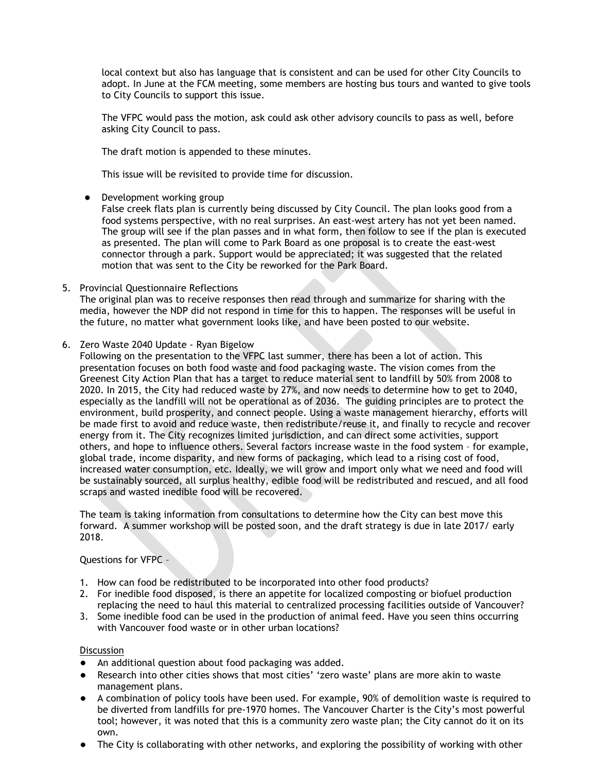local context but also has language that is consistent and can be used for other City Councils to adopt. In June at the FCM meeting, some members are hosting bus tours and wanted to give tools to City Councils to support this issue.

The VFPC would pass the motion, ask could ask other advisory councils to pass as well, before asking City Council to pass.

The draft motion is appended to these minutes.

This issue will be revisited to provide time for discussion.

Development working group

False creek flats plan is currently being discussed by City Council. The plan looks good from a food systems perspective, with no real surprises. An east-west artery has not yet been named. The group will see if the plan passes and in what form, then follow to see if the plan is executed as presented. The plan will come to Park Board as one proposal is to create the east-west connector through a park. Support would be appreciated; it was suggested that the related motion that was sent to the City be reworked for the Park Board.

5. Provincial Questionnaire Reflections

The original plan was to receive responses then read through and summarize for sharing with the media, however the NDP did not respond in time for this to happen. The responses will be useful in the future, no matter what government looks like, and have been posted to our website.

6. Zero Waste 2040 Update - Ryan Bigelow

Following on the presentation to the VFPC last summer, there has been a lot of action. This presentation focuses on both food waste and food packaging waste. The vision comes from the Greenest City Action Plan that has a target to reduce material sent to landfill by 50% from 2008 to 2020. In 2015, the City had reduced waste by 27%, and now needs to determine how to get to 2040, especially as the landfill will not be operational as of 2036. The guiding principles are to protect the environment, build prosperity, and connect people. Using a waste management hierarchy, efforts will be made first to avoid and reduce waste, then redistribute/reuse it, and finally to recycle and recover energy from it. The City recognizes limited jurisdiction, and can direct some activities, support others, and hope to influence others. Several factors increase waste in the food system – for example, global trade, income disparity, and new forms of packaging, which lead to a rising cost of food, increased water consumption, etc. Ideally, we will grow and import only what we need and food will be sustainably sourced, all surplus healthy, edible food will be redistributed and rescued, and all food scraps and wasted inedible food will be recovered.

The team is taking information from consultations to determine how the City can best move this forward. A summer workshop will be posted soon, and the draft strategy is due in late 2017/ early 2018.

Questions for VFPC –

- 1. How can food be redistributed to be incorporated into other food products?
- 2. For inedible food disposed, is there an appetite for localized composting or biofuel production replacing the need to haul this material to centralized processing facilities outside of Vancouver?
- 3. Some inedible food can be used in the production of animal feed. Have you seen thins occurring with Vancouver food waste or in other urban locations?

#### **Discussion**

- An additional question about food packaging was added.
- Research into other cities shows that most cities' 'zero waste' plans are more akin to waste management plans.
- A combination of policy tools have been used. For example, 90% of demolition waste is required to be diverted from landfills for pre-1970 homes. The Vancouver Charter is the City's most powerful tool; however, it was noted that this is a community zero waste plan; the City cannot do it on its own.
- The City is collaborating with other networks, and exploring the possibility of working with other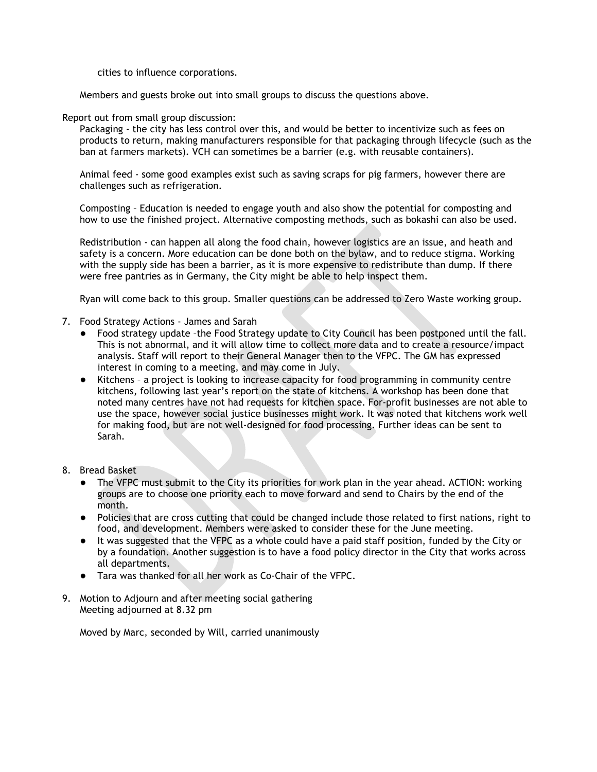cities to influence corporations.

Members and guests broke out into small groups to discuss the questions above.

### Report out from small group discussion:

Packaging - the city has less control over this, and would be better to incentivize such as fees on products to return, making manufacturers responsible for that packaging through lifecycle (such as the ban at farmers markets). VCH can sometimes be a barrier (e.g. with reusable containers).

Animal feed - some good examples exist such as saving scraps for pig farmers, however there are challenges such as refrigeration.

Composting – Education is needed to engage youth and also show the potential for composting and how to use the finished project. Alternative composting methods, such as bokashi can also be used.

Redistribution - can happen all along the food chain, however logistics are an issue, and heath and safety is a concern. More education can be done both on the bylaw, and to reduce stigma. Working with the supply side has been a barrier, as it is more expensive to redistribute than dump. If there were free pantries as in Germany, the City might be able to help inspect them.

Ryan will come back to this group. Smaller questions can be addressed to Zero Waste working group.

- 7. Food Strategy Actions James and Sarah
	- Food strategy update –the Food Strategy update to City Council has been postponed until the fall. This is not abnormal, and it will allow time to collect more data and to create a resource/impact analysis. Staff will report to their General Manager then to the VFPC. The GM has expressed interest in coming to a meeting, and may come in July.
	- Kitchens a project is looking to increase capacity for food programming in community centre kitchens, following last year's report on the state of kitchens. A workshop has been done that noted many centres have not had requests for kitchen space. For-profit businesses are not able to use the space, however social justice businesses might work. It was noted that kitchens work well for making food, but are not well-designed for food processing. Further ideas can be sent to Sarah.
- 8. Bread Basket
	- The VFPC must submit to the City its priorities for work plan in the year ahead. ACTION: working groups are to choose one priority each to move forward and send to Chairs by the end of the month.
	- Policies that are cross cutting that could be changed include those related to first nations, right to food, and development. Members were asked to consider these for the June meeting.
	- It was suggested that the VFPC as a whole could have a paid staff position, funded by the City or by a foundation. Another suggestion is to have a food policy director in the City that works across all departments.
	- Tara was thanked for all her work as Co-Chair of the VFPC.
- 9. Motion to Adjourn and after meeting social gathering Meeting adjourned at 8.32 pm

Moved by Marc, seconded by Will, carried unanimously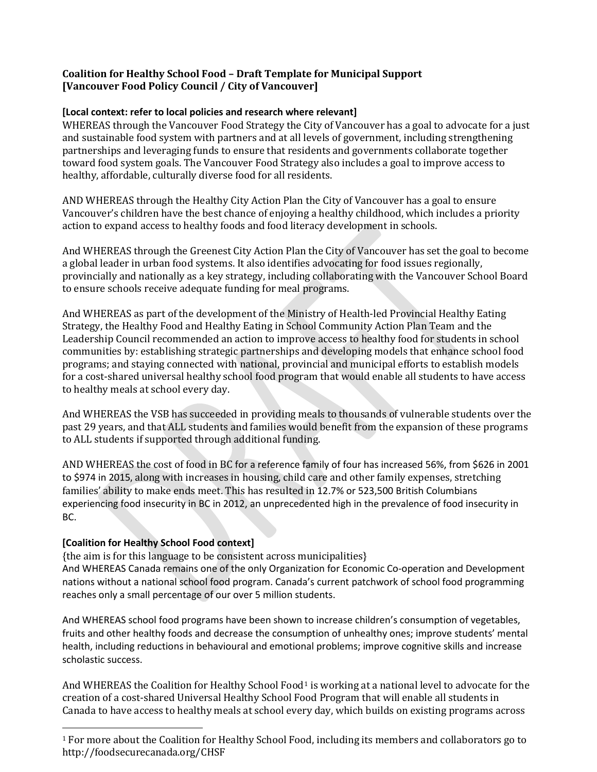# **Coalition for Healthy School Food – Draft Template for Municipal Support [Vancouver Food Policy Council / City of Vancouver]**

## **[Local context: refer to local policies and research where relevant]**

WHEREAS through the Vancouver Food Strategy the City of Vancouver has a goal to advocate for a just and sustainable food system with partners and at all levels of government, including strengthening partnerships and leveraging funds to ensure that residents and governments collaborate together toward food system goals. The Vancouver Food Strategy also includes a goal to improve access to healthy, affordable, culturally diverse food for all residents.

AND WHEREAS through the Healthy City Action Plan the City of Vancouver has a goal to ensure Vancouver's children have the best chance of enjoying a healthy childhood, which includes a priority action to expand access to healthy foods and food literacy development in schools.

And WHEREAS through the Greenest City Action Plan the City of Vancouver has set the goal to become a global leader in urban food systems. It also identifies advocating for food issues regionally, provincially and nationally as a key strategy, including collaborating with the Vancouver School Board to ensure schools receive adequate funding for meal programs.

And WHEREAS as part of the development of the Ministry of Health-led Provincial Healthy Eating Strategy, the Healthy Food and Healthy Eating in School Community Action Plan Team and the Leadership Council recommended an action to improve access to healthy food for students in school communities by: establishing strategic partnerships and developing models that enhance school food programs; and staying connected with national, provincial and municipal efforts to establish models for a cost-shared universal healthy school food program that would enable all students to have access to healthy meals at school every day.

And WHEREAS the VSB has succeeded in providing meals to thousands of vulnerable students over the past 29 years, and that ALL students and families would benefit from the expansion of these programs to ALL students if supported through additional funding.

AND WHEREAS the cost of food in BC for a reference family of four has increased 56%, from \$626 in 2001 to \$974 in 2015, along with increases in housing, child care and other family expenses, stretching families' ability to make ends meet. This has resulted in 12.7% or 523,500 British Columbians experiencing food insecurity in BC in 2012, an unprecedented high in the prevalence of food insecurity in BC.

## **[Coalition for Healthy School Food context]**

 $\overline{a}$ 

{the aim is for this language to be consistent across municipalities} And WHEREAS Canada remains one of the only Organization for Economic Co-operation and Development nations without a national school food program. Canada's current patchwork of school food programming reaches only a small percentage of our over 5 million students.

And WHEREAS school food programs have been shown to increase children's consumption of vegetables, fruits and other healthy foods and decrease the consumption of unhealthy ones; improve students' mental health, including reductions in behavioural and emotional problems; improve cognitive skills and increase scholastic success.

And WHEREAS the Coalition for Healthy School Food<sup>[1](#page-5-0)</sup> is working at a national level to advocate for the creation of a cost-shared Universal Healthy School Food Program that will enable all students in Canada to have access to healthy meals at school every day, which builds on existing programs across

<sup>&</sup>lt;sup>1</sup> For more about the Coalition for Healthy School Food, including its members and collaborators go to http://foodsecurecanada.org/CHSF